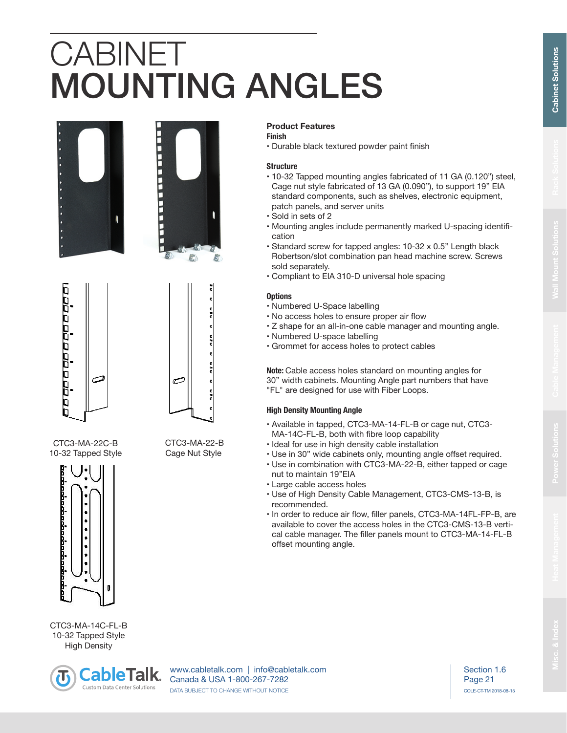# CABINET MOUNTING ANGLES







ڪ

 CTC3-MA-22-B Cage Nut Style

CTC3-MA-22C-B 10-32 Tapped Style



CTC3-MA-14C-FL-B 10-32 Tapped Style High Density



www.cabletalk.com | info@cabletalk.com Canada & USA 1-800-267-7282 DATA SUBJECT TO CHANGE WITHOUT NOTICE

Page 21 COLE-CT-TM 2018-08-15 Section 1.6

## **Product Features**

## **Finish**

• Durable black textured powder paint finish

#### **Structure**

- 10-32 Tapped mounting angles fabricated of 11 GA (0.120") steel, Cage nut style fabricated of 13 GA (0.090"), to support 19" EIA standard components, such as shelves, electronic equipment, patch panels, and server units
- Sold in sets of 2
- Mounting angles include permanently marked U-spacing identification
- Standard screw for tapped angles: 10-32 x 0.5" Length black Robertson/slot combination pan head machine screw. Screws sold separately.
- Compliant to EIA 310-D universal hole spacing

### **Options**

- Numbered U-Space labelling
- No access holes to ensure proper air flow
- Z shape for an all-in-one cable manager and mounting angle.
- Numbered U-space labelling
- Grommet for access holes to protect cables

**Note:** Cable access holes standard on mounting angles for 30" width cabinets. Mounting Angle part numbers that have "FL" are designed for use with Fiber Loops.

## **High Density Mounting Angle**

- Available in tapped, CTC3-MA-14-FL-B or cage nut, CTC3- MA-14C-FL-B, both with fibre loop capability
- Ideal for use in high density cable installation
- Use in 30" wide cabinets only, mounting angle offset required.
- Use in combination with CTC3-MA-22-B, either tapped or cage nut to maintain 19"EIA
- Large cable access holes
- Use of High Density Cable Management, CTC3-CMS-13-B, is recommended.
- In order to reduce air flow, filler panels, CTC3-MA-14FL-FP-B, are available to cover the access holes in the CTC3-CMS-13-B vertical cable manager. The filler panels mount to CTC3-MA-14-FL-B offset mounting angle.